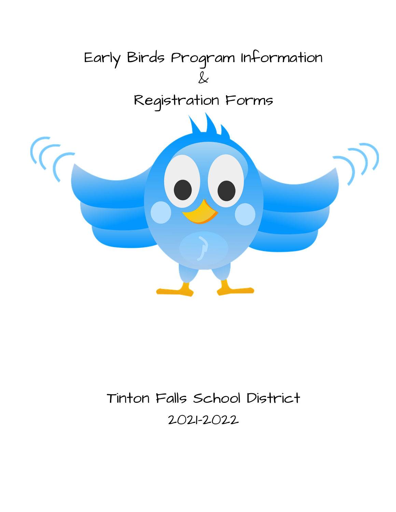

# Tinton Falls School District 2021-2022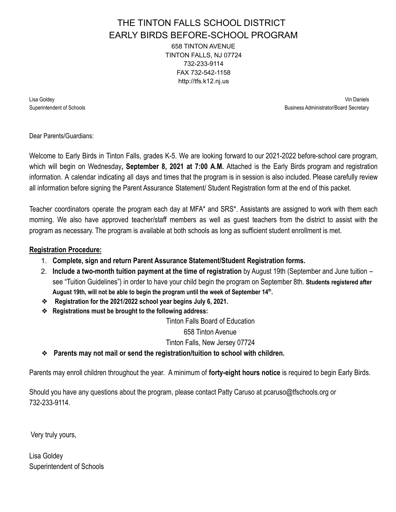### THE TINTON FALLS SCHOOL DISTRICT EARLY BIRDS BEFORE-SCHOOL PROGRAM 658 TINTON AVENUE TINTON FALLS, NJ 07724 732-233-9114 FAX 732-542-1158 http://tfs.k12.nj.us

Lisa Goldey Vin Daniels Superintendent of Schools **Business Administrator/Board Secretary** and Secretary and Secretary and Secretary and Secretary and Secretary and Secretary and Secretary and Secretary and Secretary and Secretary and Secretary a

Dear Parents/Guardians:

Welcome to Early Birds in Tinton Falls, grades K-5. We are looking forward to our 2021-2022 before-school care program, which will begin on Wednesday**, September 8, 2021 at 7:00 A.M.** Attached is the Early Birds program and registration information. A calendar indicating all days and times that the program is in session is also included. Please carefully review all information before signing the Parent Assurance Statement/ Student Registration form at the end of this packet.

Teacher coordinators operate the program each day at MFA\* and SRS\*. Assistants are assigned to work with them each morning. We also have approved teacher/staff members as well as guest teachers from the district to assist with the program as necessary. The program is available at both schools as long as sufficient student enrollment is met.

### **Registration Procedure:**

- 1. **Complete, sign and return Parent Assurance Statement/Student Registration forms.**
- 2. **Include a two-month tuition payment at the time of registration** by August 19th (September and June tuition see "Tuition Guidelines") in order to have your child begin the program on September 8th. **Students registered after August 19th, will not be able to begin the program until the week of September 14th .**
- ❖ **Registration for the 2021/2022 school year begins July 6, 2021.**
- ❖ **Registrations must be brought to the following address:**

Tinton Falls Board of Education

658 Tinton Avenue

Tinton Falls, New Jersey 07724

❖ **Parents may not mail or send the registration/tuition to school with children.**

Parents may enroll children throughout the year. A minimum of **forty-eight hours notice** is required to begin Early Birds.

Should you have any questions about the program, please contact Patty Caruso at pcaruso@tfschools.org or 732-233-9114.

Very truly yours,

Lisa Goldey Superintendent of Schools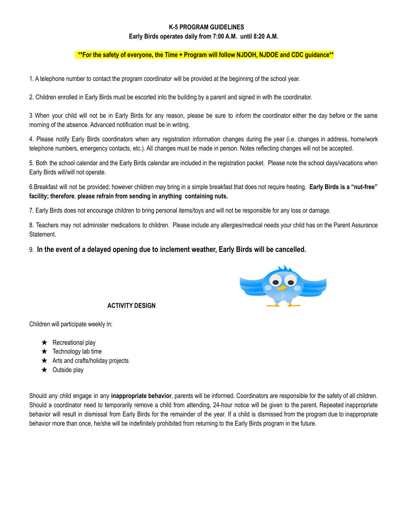#### **K-5 PROGRAM GUIDELINES**

#### **Early Birds operates daily from 7:00 A.M. until 8:20 A.M.**

#### **\*\*For the safety of everyone, the Time + Program will follow NJDOH, NJDOE and CDC guidance\*\***

1. A telephone number to contact the program coordinator will be provided at the beginning of the school year.

2. Children enrolled in Early Birds must be escorted into the building by a parent and signed in with the coordinator.

3 When your child will not be in Early Birds for any reason, please be sure to inform the coordinator either the day before or the same morning of the absence. Advanced notification must be in writing.

4. Please notify Early Birds coordinators when any registration information changes during the year (i.e. changes in address, home/work telephone numbers, emergency contacts, etc.). All changes must be made in person. Notes reflecting changes will not be accepted.

5. Both the school calendar and the Early Birds calendar are included in the registration packet. Please note the school days/vacations when Early Birds will/will not operate.

6.Breakfast will not be provided; however children may bring in a simple breakfast that does not require heating. **Early Birds is a "nut-free" facility; therefore**, **please refrain from sending in anything containing nuts.**

7. Early Birds does not encourage children to bring personal items/toys and will not be responsible for any loss or damage.

8. Teachers may not administer medications to children. Please include any allergies/medical needs your child has on the Parent Assurance Statement.

#### 9. **In the event of a delayed opening due to inclement weather, Early Birds will be cancelled.**



#### **ACTIVITY DESIGN**

Children will participate weekly in:

- $\star$  Recreational play
- $\star$  Technology lab time
- $\star$  Arts and crafts/holiday projects
- $\star$  Outside play

Should any child engage in any **inappropriate behavior**, parents will be informed. Coordinators are responsible for the safety of all children. Should a coordinator need to temporarily remove a child from attending, 24-hour notice will be given to the parent. Repeated inappropriate behavior will result in dismissal from Early Birds for the remainder of the year. If a child is dismissed from the program due to inappropriate behavior more than once, he/she will be indefinitely prohibited from returning to the Early Birds program in the future.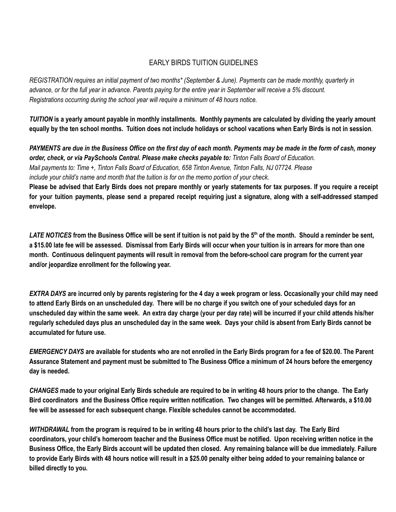### EARLY BIRDS TUITION GUIDELINES

REGISTRATION requires an initial payment of two months\* (September & June). Payments can be made monthly, quarterly in advance, or for the full year in advance. Parents paying for the entire year in September will receive a 5% discount. *Registrations occurring during the school year will require a minimum of 48 hours notice.*

TUITION is a yearly amount payable in monthly installments. Monthly payments are calculated by dividing the yearly amount equally by the ten school months. Tuition does not include holidays or school vacations when Early Birds is not in session.

PAYMENTS are due in the Business Office on the first day of each month. Payments may be made in the form of cash, money *order, check, or via PaySchools Central. Please make checks payable to: Tinton Falls Board of Education.* Mail payments to: Time +, Tinton Falls Board of Education, 658 Tinton Avenue, Tinton Falls, NJ 07724. Please *include your child's name and month that the tuition is for on the memo portion of your check.*

Please be advised that Early Birds does not prepare monthly or yearly statements for tax purposes. If you require a receipt for your tuition payments, please send a prepared receipt requiring just a signature, along with a self-addressed stamped **envelope.**

LATE NOTICES from the Business Office will be sent if tuition is not paid by the 5<sup>th</sup> of the month. Should a reminder be sent, a \$15.00 late fee will be assessed. Dismissal from Early Birds will occur when your tuition is in arrears for more than one month. Continuous delinquent payments will result in removal from the before-school care program for the current year **and/or jeopardize enrollment for the following year.**

**EXTRA DAYS** are incurred only by parents registering for the 4 day a week program or less. Occasionally your child may need to attend Early Birds on an unscheduled day. There will be no charge if you switch one of your scheduled days for an unscheduled day within the same week. An extra day charge (your per day rate) will be incurred if your child attends his/her regularly scheduled days plus an unscheduled day in the same week. Days your child is absent from Early Birds cannot be **accumulated for future use.**

EMERGENCY DAYS are available for students who are not enrolled in the Early Birds program for a fee of \$20.00. The Parent Assurance Statement and payment must be submitted to The Business Office a minimum of 24 hours before the emergency **day is needed.**

CHANGES made to your original Early Birds schedule are required to be in writing 48 hours prior to the change. The Early Bird coordinators and the Business Office require written notification. Two changes will be permitted. Afterwards, a \$10.00 **fee will be assessed for each subsequent change. Flexible schedules cannot be accommodated.**

WITHDRAWAL from the program is required to be in writing 48 hours prior to the child's last day. The Early Bird coordinators, your child's homeroom teacher and the Business Office must be notified. Upon receiving written notice in the Business Office, the Early Birds account will be updated then closed. Any remaining balance will be due immediately. Failure to provide Early Birds with 48 hours notice will result in a \$25.00 penalty either being added to your remaining balance or **billed directly to you.**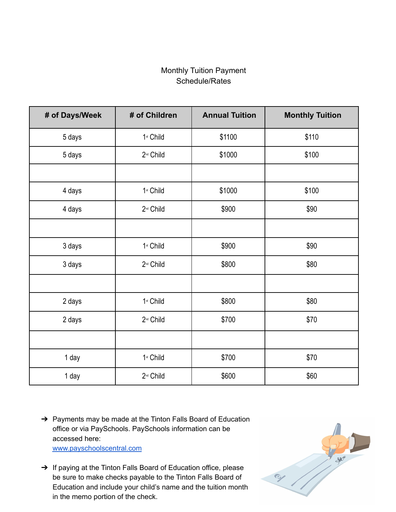### Monthly Tuition Payment Schedule/Rates

| # of Days/Week | # of Children         | <b>Annual Tuition</b> | <b>Monthly Tuition</b> |
|----------------|-----------------------|-----------------------|------------------------|
| 5 days         | 1st Child             | \$1100                | \$110                  |
| 5 days         | 2 <sup>nd</sup> Child | \$1000                | \$100                  |
|                |                       |                       |                        |
| 4 days         | 1st Child             | \$1000                | \$100                  |
| 4 days         | 2 <sup>nd</sup> Child | \$900                 | \$90                   |
|                |                       |                       |                        |
| 3 days         | 1st Child             | \$900                 | \$90                   |
| 3 days         | 2 <sup>nd</sup> Child | \$800                 | \$80                   |
|                |                       |                       |                        |
| 2 days         | 1st Child             | \$800                 | \$80                   |
| 2 days         | 2 <sup>nd</sup> Child | \$700                 | \$70                   |
|                |                       |                       |                        |
| 1 day          | 1st Child             | \$700                 | \$70                   |
| 1 day          | 2 <sup>nd</sup> Child | \$600                 | \$60                   |

- → Payments may be made at the Tinton Falls Board of Education office or via PaySchools. PaySchools information can be accessed here: [www.payschoolscentral.com](http://www.payschoolscentral.com/)
- → If paying at the Tinton Falls Board of Education office, please be sure to make checks payable to the Tinton Falls Board of Education and include your child's name and the tuition month in the memo portion of the check.

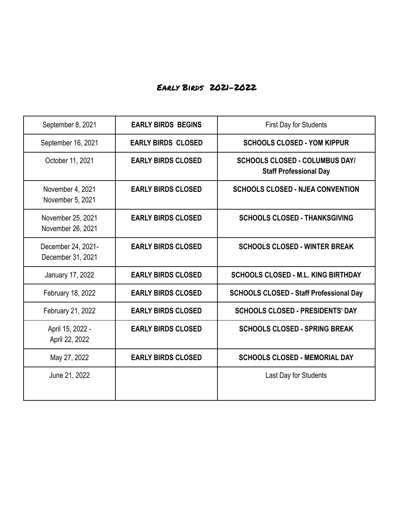## Early Birds 2021-2022

| September 8, 2021                       | <b>EARLY BIRDS BEGINS</b> | <b>First Day for Students</b>                                          |
|-----------------------------------------|---------------------------|------------------------------------------------------------------------|
| September 16, 2021                      | <b>EARLY BIRDS CLOSED</b> | <b>SCHOOLS CLOSED - YOM KIPPUR</b>                                     |
| October 11, 2021                        | <b>EARLY BIRDS CLOSED</b> | <b>SCHOOLS CLOSED - COLUMBUS DAY/</b><br><b>Staff Professional Day</b> |
| November 4, 2021<br>November 5, 2021    | <b>EARLY BIRDS CLOSED</b> | <b>SCHOOLS CLOSED - NJEA CONVENTION</b>                                |
| November 25, 2021<br>November 26, 2021  | <b>EARLY BIRDS CLOSED</b> | <b>SCHOOLS CLOSED - THANKSGIVING</b>                                   |
| December 24, 2021-<br>December 31, 2021 | <b>EARLY BIRDS CLOSED</b> | <b>SCHOOLS CLOSED - WINTER BREAK</b>                                   |
| January 17, 2022                        | <b>EARLY BIRDS CLOSED</b> | <b>SCHOOLS CLOSED - M.L. KING BIRTHDAY</b>                             |
| February 18, 2022                       | <b>EARLY BIRDS CLOSED</b> | <b>SCHOOLS CLOSED - Staff Professional Day</b>                         |
| February 21, 2022                       | <b>EARLY BIRDS CLOSED</b> | <b>SCHOOLS CLOSED - PRESIDENTS' DAY</b>                                |
| April 15, 2022 -<br>April 22, 2022      | <b>EARLY BIRDS CLOSED</b> | <b>SCHOOLS CLOSED - SPRING BREAK</b>                                   |
| May 27, 2022                            | <b>EARLY BIRDS CLOSED</b> | <b>SCHOOLS CLOSED - MEMORIAL DAY</b>                                   |
| June 21, 2022                           |                           | Last Day for Students                                                  |